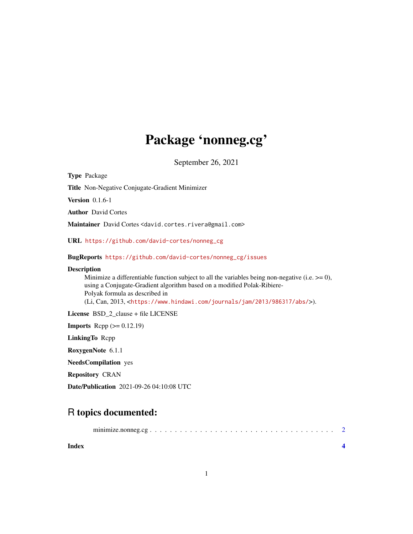## Package 'nonneg.cg'

September 26, 2021

Type Package Title Non-Negative Conjugate-Gradient Minimizer Version 0.1.6-1 Author David Cortes Maintainer David Cortes <david.cortes.rivera@gmail.com> URL [https://github.com/david-cortes/nonneg\\_cg](https://github.com/david-cortes/nonneg_cg) BugReports [https://github.com/david-cortes/nonneg\\_cg/issues](https://github.com/david-cortes/nonneg_cg/issues) Description Minimize a differentiable function subject to all the variables being non-negative (i.e.  $\geq$ = 0), using a Conjugate-Gradient algorithm based on a modified Polak-Ribiere-Polyak formula as described in (Li, Can, 2013, <<https://www.hindawi.com/journals/jam/2013/986317/abs/>>). License BSD\_2\_clause + file LICENSE **Imports** Rcpp  $(>= 0.12.19)$ LinkingTo Rcpp RoxygenNote 6.1.1 NeedsCompilation yes Repository CRAN

## Date/Publication 2021-09-26 04:10:08 UTC

### R topics documented:

|--|--|

| Index |  |  |
|-------|--|--|
|       |  |  |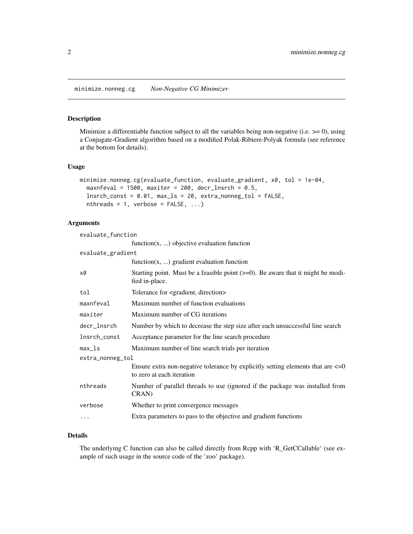#### <span id="page-1-0"></span>Description

Minimize a differentiable function subject to all the variables being non-negative (i.e.  $>= 0$ ), using a Conjugate-Gradient algorithm based on a modified Polak-Ribiere-Polyak formula (see reference at the bottom for details).

#### Usage

```
minimize.nonneg.cg(evaluate_function, evaluate_gradient, x0, tol = 1e-04,
 maxnfeval = 1500, maxiter = 200, decr_lnsrch = 0.5,
  lnsrch_const = 0.01, max_ls = 20, extra_nonneg_tol = FALSE,
  nthreads = 1, verbose = FALSE, ...)
```
#### Arguments

| evaluate_function |                                                                                                                   |  |  |  |
|-------------------|-------------------------------------------------------------------------------------------------------------------|--|--|--|
|                   | function $(x, \ldots)$ objective evaluation function                                                              |  |  |  |
| evaluate_gradient |                                                                                                                   |  |  |  |
|                   | function $(x, \ldots)$ gradient evaluation function                                                               |  |  |  |
| x0                | Starting point. Must be a feasible point $(>=0)$ . Be aware that it might be modi-<br>fied in-place.              |  |  |  |
| tol               | Tolerance for <gradient, direction=""></gradient,>                                                                |  |  |  |
| maxnfeval         | Maximum number of function evaluations                                                                            |  |  |  |
| maxiter           | Maximum number of CG iterations                                                                                   |  |  |  |
| decr_lnsrch       | Number by which to decrease the step size after each unsuccessful line search                                     |  |  |  |
| lnsrch_const      | Acceptance parameter for the line search procedure                                                                |  |  |  |
| $max_l$           | Maximum number of line search trials per iteration                                                                |  |  |  |
| extra_nonneg_tol  |                                                                                                                   |  |  |  |
|                   | Ensure extra non-negative tolerance by explicitly setting elements that are $\leq 0$<br>to zero at each iteration |  |  |  |
| nthreads          | Number of parallel threads to use (ignored if the package was installed from<br>CRAN)                             |  |  |  |
| verbose           | Whether to print convergence messages                                                                             |  |  |  |
| $\cdots$          | Extra parameters to pass to the objective and gradient functions                                                  |  |  |  |
|                   |                                                                                                                   |  |  |  |

#### Details

The underlying C function can also be called directly from Rcpp with 'R\_GetCCallable' (see example of such usage in the source code of the 'zoo' package).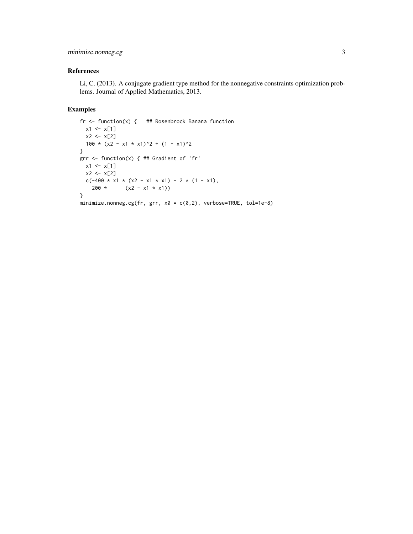#### minimize.nonneg.cg 3

#### References

Li, C. (2013). A conjugate gradient type method for the nonnegative constraints optimization problems. Journal of Applied Mathematics, 2013.

#### Examples

```
fr \leq function(x) { ## Rosenbrock Banana function
  x1 \le x[1]x2 < - x[2]100 \times (x2 - x1 \times x1)^2 + (1 - x1)^2}
grr <- function(x) { ## Gradient of 'fr'
  x1 \leftarrow x[1]x2 \leftarrow x[2]c(-400 \times x1 \times (x2 - x1 \times x1) - 2 \times (1 - x1),200 \star (x2 - x1 \star x1))
}
minimize.nonneg.cg(fr, grr, x0 = c(0,2), verbose=TRUE, tol=1e-8)
```